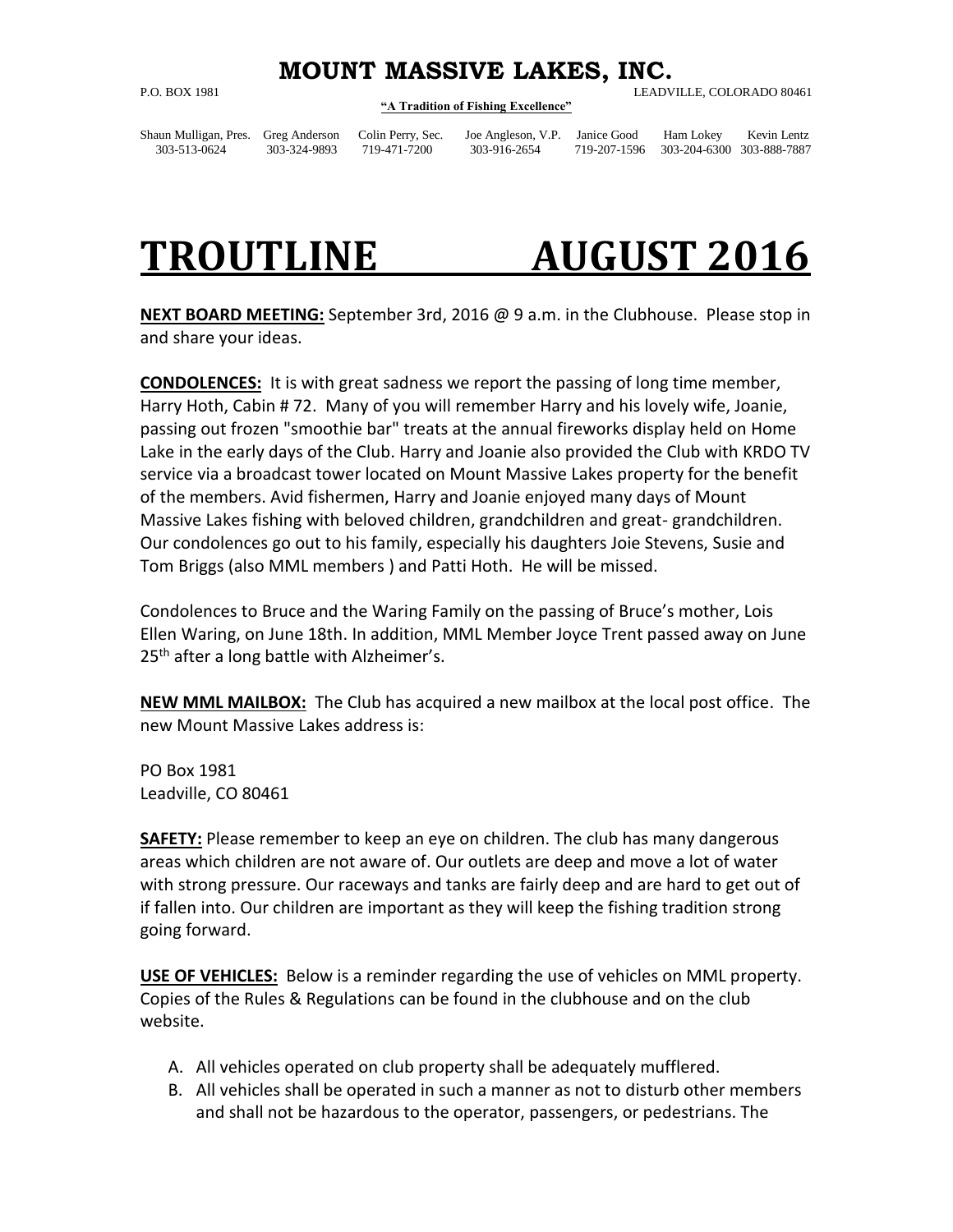## **MOUNT MASSIVE LAKES, INC.**

## **"A Tradition of Fishing Excellence"**

P.O. BOX 1981 LEADVILLE, COLORADO 80461

Shaun Mulligan, Pres. Greg Anderson Colin Perry, Sec. Joe Angleson, V.P. Janice Good Ham Lokey Kevin Lentz 303-513-0624 303-324-9893 719-471-7200 303-916-2654 719-207-1596 303-204-6300 303-888-7887

## **TROUTLINE AUGUST 2016**

**NEXT BOARD MEETING:** September 3rd, 2016 @ 9 a.m. in the Clubhouse. Please stop in and share your ideas.

**CONDOLENCES:** It is with great sadness we report the passing of long time member, Harry Hoth, Cabin # 72. Many of you will remember Harry and his lovely wife, Joanie, passing out frozen "smoothie bar" treats at the annual fireworks display held on Home Lake in the early days of the Club. Harry and Joanie also provided the Club with KRDO TV service via a broadcast tower located on Mount Massive Lakes property for the benefit of the members. Avid fishermen, Harry and Joanie enjoyed many days of Mount Massive Lakes fishing with beloved children, grandchildren and great- grandchildren. Our condolences go out to his family, especially his daughters Joie Stevens, Susie and Tom Briggs (also MML members ) and Patti Hoth. He will be missed.

Condolences to Bruce and the Waring Family on the passing of Bruce's mother, Lois Ellen Waring, on June 18th. In addition, MML Member Joyce Trent passed away on June 25<sup>th</sup> after a long battle with Alzheimer's.

**NEW MML MAILBOX:** The Club has acquired a new mailbox at the local post office. The new Mount Massive Lakes address is:

PO Box 1981 Leadville, CO 80461

**SAFETY:** Please remember to keep an eye on children. The club has many dangerous areas which children are not aware of. Our outlets are deep and move a lot of water with strong pressure. Our raceways and tanks are fairly deep and are hard to get out of if fallen into. Our children are important as they will keep the fishing tradition strong going forward.

**USE OF VEHICLES:** Below is a reminder regarding the use of vehicles on MML property. Copies of the Rules & Regulations can be found in the clubhouse and on the club website.

- A. All vehicles operated on club property shall be adequately mufflered.
- B. All vehicles shall be operated in such a manner as not to disturb other members and shall not be hazardous to the operator, passengers, or pedestrians. The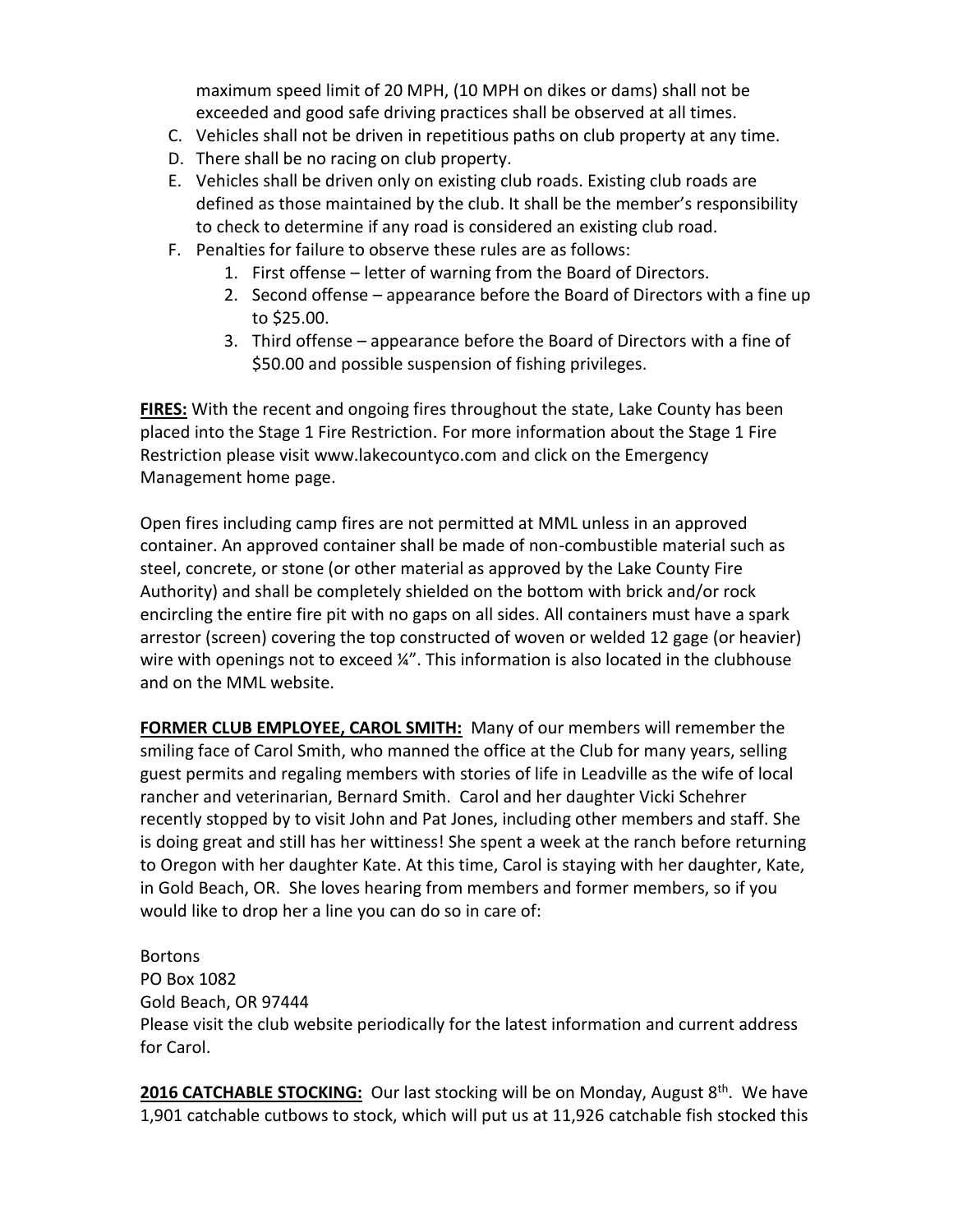maximum speed limit of 20 MPH, (10 MPH on dikes or dams) shall not be exceeded and good safe driving practices shall be observed at all times.

- C. Vehicles shall not be driven in repetitious paths on club property at any time.
- D. There shall be no racing on club property.
- E. Vehicles shall be driven only on existing club roads. Existing club roads are defined as those maintained by the club. It shall be the member's responsibility to check to determine if any road is considered an existing club road.
- F. Penalties for failure to observe these rules are as follows:
	- 1. First offense letter of warning from the Board of Directors.
		- 2. Second offense appearance before the Board of Directors with a fine up to \$25.00.
	- 3. Third offense appearance before the Board of Directors with a fine of \$50.00 and possible suspension of fishing privileges.

**FIRES:** With the recent and ongoing fires throughout the state, Lake County has been placed into the Stage 1 Fire Restriction. For more information about the Stage 1 Fire Restriction please visit [www.lakecountyco.com](http://www.lakecountyco.com/) and click on the Emergency Management home page.

Open fires including camp fires are not permitted at MML unless in an approved container. An approved container shall be made of non-combustible material such as steel, concrete, or stone (or other material as approved by the Lake County Fire Authority) and shall be completely shielded on the bottom with brick and/or rock encircling the entire fire pit with no gaps on all sides. All containers must have a spark arrestor (screen) covering the top constructed of woven or welded 12 gage (or heavier) wire with openings not to exceed  $\frac{1}{4}$ . This information is also located in the clubhouse and on the MML website.

**FORMER CLUB EMPLOYEE, CAROL SMITH:** Many of our members will remember the smiling face of Carol Smith, who manned the office at the Club for many years, selling guest permits and regaling members with stories of life in Leadville as the wife of local rancher and veterinarian, Bernard Smith. Carol and her daughter Vicki Schehrer recently stopped by to visit John and Pat Jones, including other members and staff. She is doing great and still has her wittiness! She spent a week at the ranch before returning to Oregon with her daughter Kate. At this time, Carol is staying with her daughter, Kate, in Gold Beach, OR. She loves hearing from members and former members, so if you would like to drop her a line you can do so in care of:

**Bortons** PO Box 1082 Gold Beach, OR 97444 Please visit the club website periodically for the latest information and current address for Carol.

**2016 CATCHABLE STOCKING:** Our last stocking will be on Monday, August 8<sup>th</sup>. We have 1,901 catchable cutbows to stock, which will put us at 11,926 catchable fish stocked this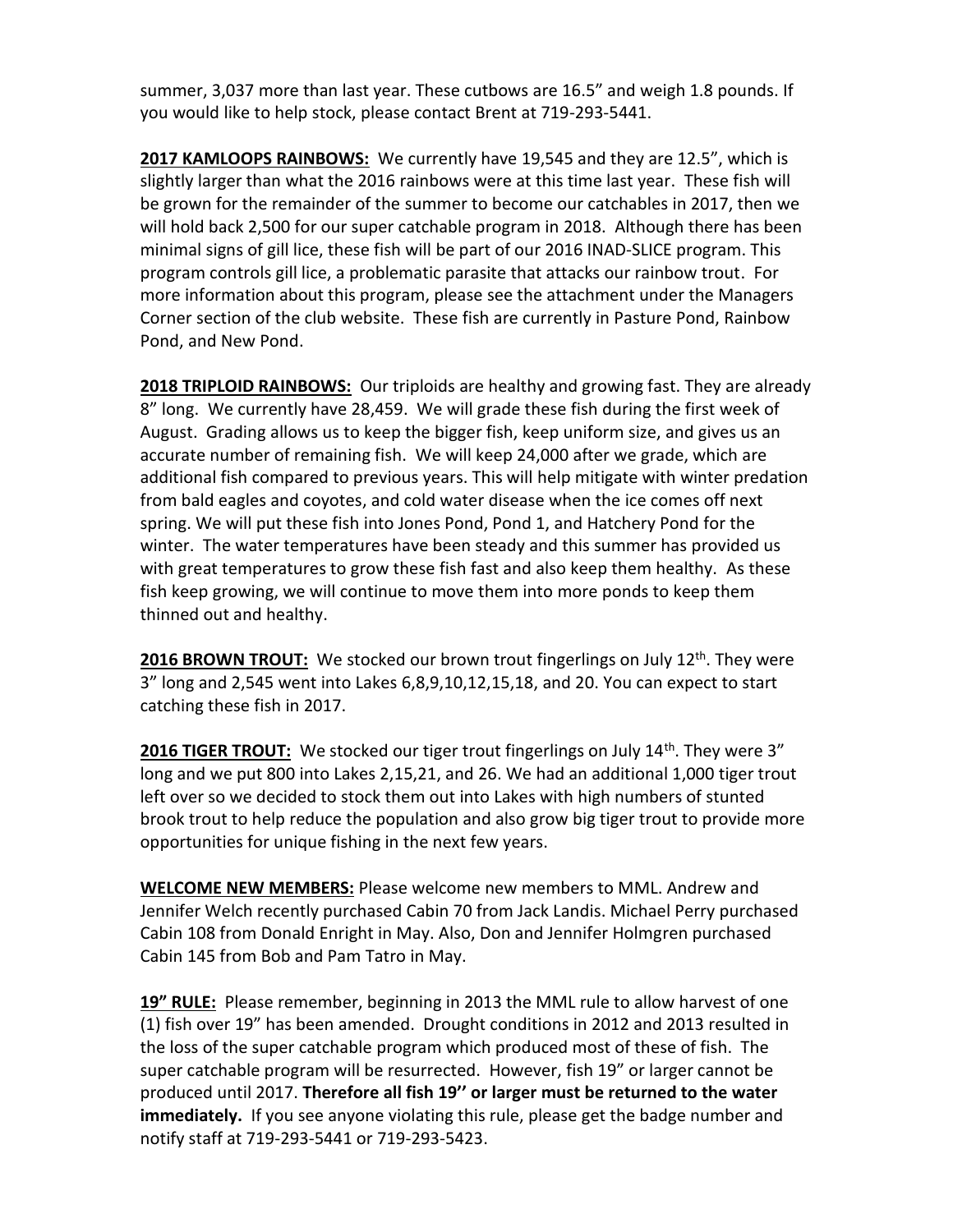summer, 3,037 more than last year. These cutbows are 16.5" and weigh 1.8 pounds. If you would like to help stock, please contact Brent at 719-293-5441.

**2017 KAMLOOPS RAINBOWS:** We currently have 19,545 and they are 12.5", which is slightly larger than what the 2016 rainbows were at this time last year. These fish will be grown for the remainder of the summer to become our catchables in 2017, then we will hold back 2,500 for our super catchable program in 2018. Although there has been minimal signs of gill lice, these fish will be part of our 2016 INAD-SLICE program. This program controls gill lice, a problematic parasite that attacks our rainbow trout. For more information about this program, please see the attachment under the Managers Corner section of the club website. These fish are currently in Pasture Pond, Rainbow Pond, and New Pond.

**2018 TRIPLOID RAINBOWS:** Our triploids are healthy and growing fast. They are already 8" long. We currently have 28,459. We will grade these fish during the first week of August. Grading allows us to keep the bigger fish, keep uniform size, and gives us an accurate number of remaining fish. We will keep 24,000 after we grade, which are additional fish compared to previous years. This will help mitigate with winter predation from bald eagles and coyotes, and cold water disease when the ice comes off next spring. We will put these fish into Jones Pond, Pond 1, and Hatchery Pond for the winter. The water temperatures have been steady and this summer has provided us with great temperatures to grow these fish fast and also keep them healthy. As these fish keep growing, we will continue to move them into more ponds to keep them thinned out and healthy.

**2016 BROWN TROUT:** We stocked our brown trout fingerlings on July 12<sup>th</sup>. They were 3" long and 2,545 went into Lakes 6,8,9,10,12,15,18, and 20. You can expect to start catching these fish in 2017.

**2016 TIGER TROUT:** We stocked our tiger trout fingerlings on July 14<sup>th</sup>. They were 3" long and we put 800 into Lakes 2,15,21, and 26. We had an additional 1,000 tiger trout left over so we decided to stock them out into Lakes with high numbers of stunted brook trout to help reduce the population and also grow big tiger trout to provide more opportunities for unique fishing in the next few years.

**WELCOME NEW MEMBERS:** Please welcome new members to MML. Andrew and Jennifer Welch recently purchased Cabin 70 from Jack Landis. Michael Perry purchased Cabin 108 from Donald Enright in May. Also, Don and Jennifer Holmgren purchased Cabin 145 from Bob and Pam Tatro in May.

**19" RULE:** Please remember, beginning in 2013 the MML rule to allow harvest of one (1) fish over 19" has been amended. Drought conditions in 2012 and 2013 resulted in the loss of the super catchable program which produced most of these of fish. The super catchable program will be resurrected. However, fish 19" or larger cannot be produced until 2017. **Therefore all fish 19'' or larger must be returned to the water immediately.** If you see anyone violating this rule, please get the badge number and notify staff at 719-293-5441 or 719-293-5423.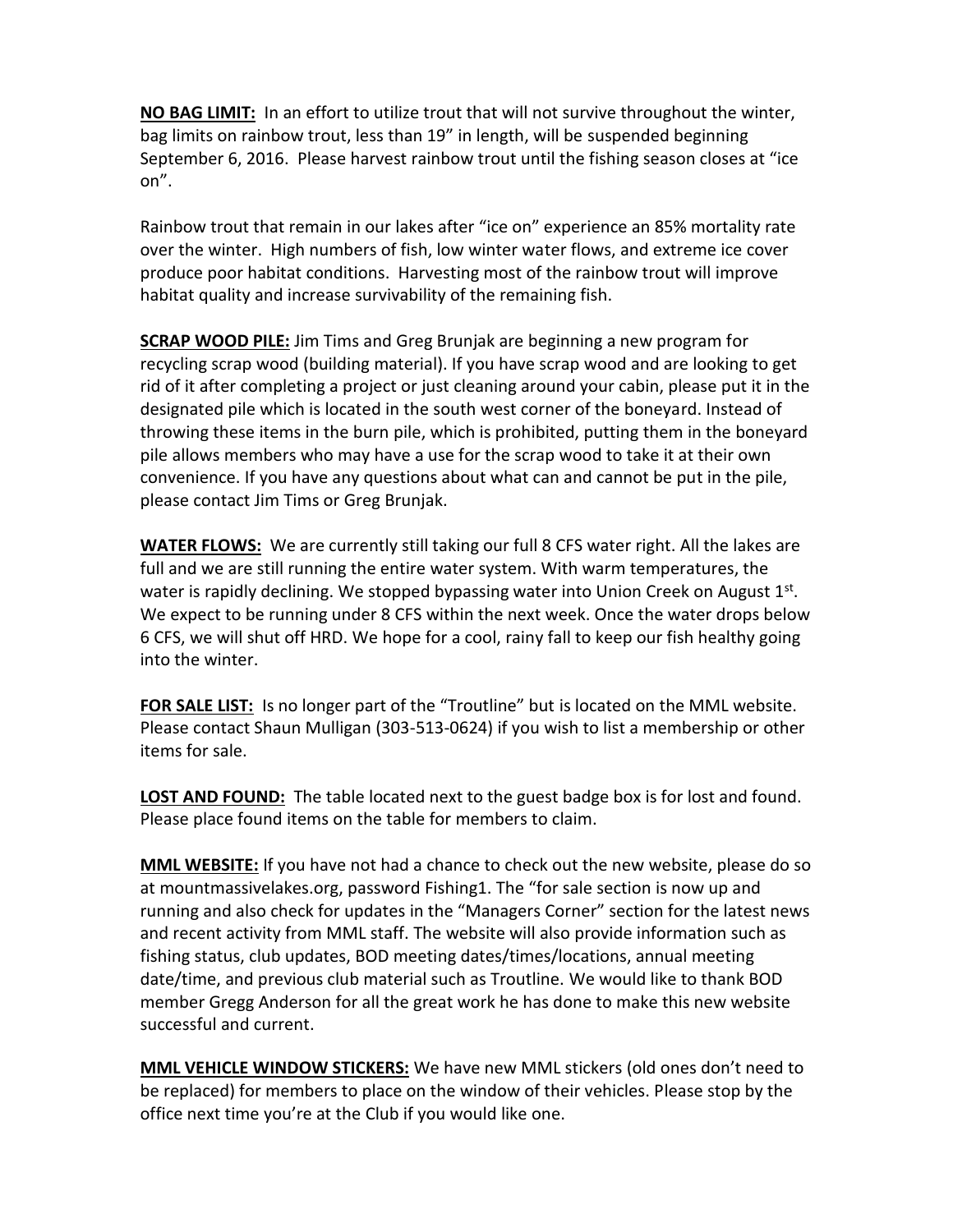**NO BAG LIMIT:** In an effort to utilize trout that will not survive throughout the winter, bag limits on rainbow trout, less than 19" in length, will be suspended beginning September 6, 2016. Please harvest rainbow trout until the fishing season closes at "ice on".

Rainbow trout that remain in our lakes after "ice on" experience an 85% mortality rate over the winter. High numbers of fish, low winter water flows, and extreme ice cover produce poor habitat conditions. Harvesting most of the rainbow trout will improve habitat quality and increase survivability of the remaining fish.

**SCRAP WOOD PILE:** Jim Tims and Greg Brunjak are beginning a new program for recycling scrap wood (building material). If you have scrap wood and are looking to get rid of it after completing a project or just cleaning around your cabin, please put it in the designated pile which is located in the south west corner of the boneyard. Instead of throwing these items in the burn pile, which is prohibited, putting them in the boneyard pile allows members who may have a use for the scrap wood to take it at their own convenience. If you have any questions about what can and cannot be put in the pile, please contact Jim Tims or Greg Brunjak.

**WATER FLOWS:** We are currently still taking our full 8 CFS water right. All the lakes are full and we are still running the entire water system. With warm temperatures, the water is rapidly declining. We stopped bypassing water into Union Creek on August 1<sup>st</sup>. We expect to be running under 8 CFS within the next week. Once the water drops below 6 CFS, we will shut off HRD. We hope for a cool, rainy fall to keep our fish healthy going into the winter.

FOR SALE LIST: Is no longer part of the "Troutline" but is located on the MML website. Please contact Shaun Mulligan (303-513-0624) if you wish to list a membership or other items for sale.

**LOST AND FOUND:** The table located next to the guest badge box is for lost and found. Please place found items on the table for members to claim.

**MML WEBSITE:** If you have not had a chance to check out the new website, please do so at mountmassivelakes.org, password Fishing1. The "for sale section is now up and running and also check for updates in the "Managers Corner" section for the latest news and recent activity from MML staff. The website will also provide information such as fishing status, club updates, BOD meeting dates/times/locations, annual meeting date/time, and previous club material such as Troutline. We would like to thank BOD member Gregg Anderson for all the great work he has done to make this new website successful and current.

**MML VEHICLE WINDOW STICKERS:** We have new MML stickers (old ones don't need to be replaced) for members to place on the window of their vehicles. Please stop by the office next time you're at the Club if you would like one.